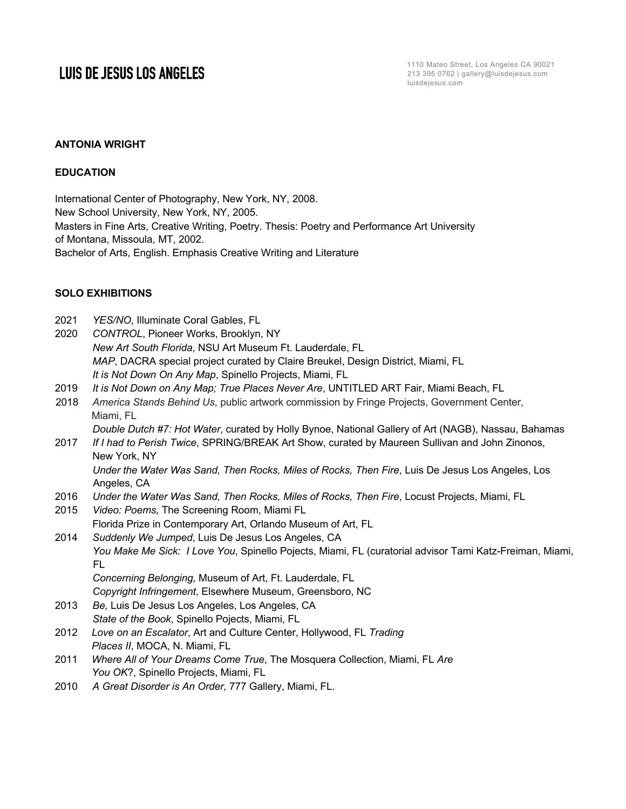#### **ANTONIA WRIGHT**

#### **EDUCATION**

International Center of Photography, New York, NY, 2008. New School University, New York, NY, 2005. Masters in Fine Arts, Creative Writing, Poetry. Thesis: Poetry and Performance Art University of Montana, Missoula, MT, 2002. Bachelor of Arts, English. Emphasis Creative Writing and Literature

### **SOLO EXHIBITIONS**

| 2021 | YES/NO, Illuminate Coral Gables, FL                                                                                                                                                                                   |
|------|-----------------------------------------------------------------------------------------------------------------------------------------------------------------------------------------------------------------------|
| 2020 | CONTROL, Pioneer Works, Brooklyn, NY                                                                                                                                                                                  |
|      | New Art South Florida, NSU Art Museum Ft. Lauderdale, FL                                                                                                                                                              |
|      | MAP, DACRA special project curated by Claire Breukel, Design District, Miami, FL                                                                                                                                      |
|      | It is Not Down On Any Map, Spinello Projects, Miami, FL                                                                                                                                                               |
| 2019 | It is Not Down on Any Map; True Places Never Are, UNTITLED ART Fair, Miami Beach, FL                                                                                                                                  |
| 2018 | America Stands Behind Us, public artwork commission by Fringe Projects, Government Center,<br>Miami, FL                                                                                                               |
| 2017 | Double Dutch #7: Hot Water, curated by Holly Bynoe, National Gallery of Art (NAGB), Nassau, Bahamas<br>If I had to Perish Twice, SPRING/BREAK Art Show, curated by Maureen Sullivan and John Zinonos,<br>New York, NY |
|      | Under the Water Was Sand, Then Rocks, Miles of Rocks, Then Fire, Luis De Jesus Los Angeles, Los<br>Angeles, CA                                                                                                        |
| 2016 | Under the Water Was Sand, Then Rocks, Miles of Rocks, Then Fire, Locust Projects, Miami, FL                                                                                                                           |
| 2015 | Video: Poems, The Screening Room, Miami FL                                                                                                                                                                            |
|      | Florida Prize in Contemporary Art, Orlando Museum of Art, FL                                                                                                                                                          |
| 2014 | Suddenly We Jumped, Luis De Jesus Los Angeles, CA                                                                                                                                                                     |
|      | You Make Me Sick: I Love You, Spinello Pojects, Miami, FL (curatorial advisor Tami Katz-Freiman, Miami,<br>FL                                                                                                         |
|      | Concerning Belonging, Museum of Art, Ft. Lauderdale, FL                                                                                                                                                               |
|      | Copyright Infringement, Elsewhere Museum, Greensboro, NC                                                                                                                                                              |
| 2013 | Be, Luis De Jesus Los Angeles, Los Angeles, CA                                                                                                                                                                        |
|      | State of the Book, Spinello Pojects, Miami, FL                                                                                                                                                                        |
| 2012 | Love on an Escalator, Art and Culture Center, Hollywood, FL Trading                                                                                                                                                   |
|      | Places II, MOCA, N. Miami, FL                                                                                                                                                                                         |
| 2011 | Where All of Your Dreams Come True, The Mosquera Collection, Miami, FL Are                                                                                                                                            |
|      | You OK?, Spinello Projects, Miami, FL                                                                                                                                                                                 |
| 2010 | A Great Disorder is An Order, 777 Gallery, Miami, FL.                                                                                                                                                                 |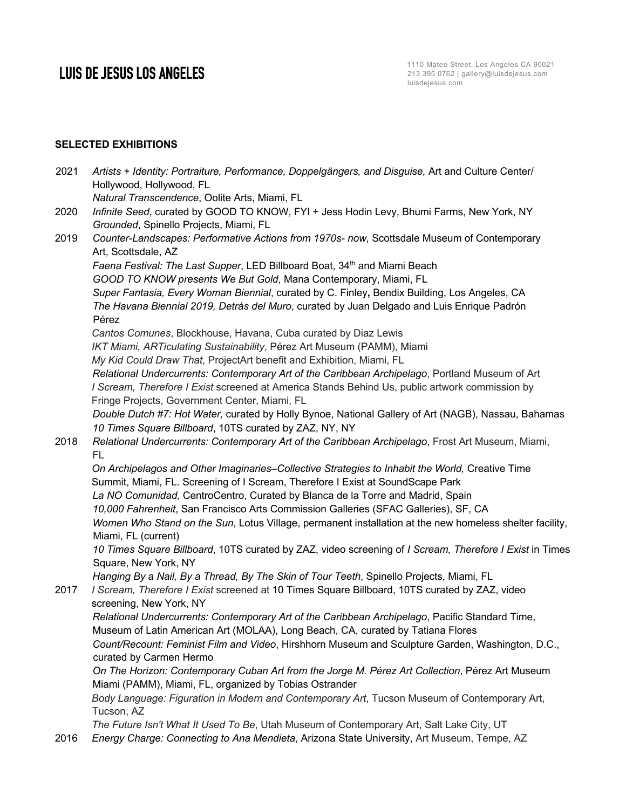Hollywood, Hollywood, FL

### **SELECTED EXHIBITIONS**

*Natural Transcendence*, Oolite Arts, Miami, FL 2020 *Infinite Seed*, curated by GOOD TO KNOW, FYI + Jess Hodin Levy, Bhumi Farms, New York, NY *Grounded*, Spinello Projects, Miami, FL 2019 *Counter-Landscapes: Performative Actions from 1970s- now*, Scottsdale Museum of Contemporary Art, Scottsdale, AZ *Faena Festival: The Last Supper*, LED Billboard Boat, 34<sup>th</sup> and Miami Beach *GOOD TO KNOW presents We But Gold*, Mana Contemporary, Miami, FL *Super Fantasia, Every Woman Biennial*, curated by C. Finley**,** Bendix Building, Los Angeles, CA *The Havana Biennial 2019, Detrás del Muro*, curated by Juan Delgado and Luis Enrique Padrón Pérez *Cantos Comunes*, Blockhouse, Havana, Cuba curated by Diaz Lewis *IKT Miami, ARTiculating Sustainability*, Pérez Art Museum (PAMM), Miami *My Kid Could Draw That*, ProjectArt benefit and Exhibition, Miami, FL *Relational Undercurrents: Contemporary Art of the Caribbean Archipelago*, Portland Museum of Art *I Scream, Therefore I Exist* screened at America Stands Behind Us, public artwork commission by Fringe Projects, Government Center, Miami, FL *Double Dutch #7: Hot Water,* curated by Holly Bynoe, National Gallery of Art (NAGB), Nassau, Bahamas *10 Times Square Billboard*, 10TS curated by ZAZ, NY, NY 2018 *Relational Undercurrents: Contemporary Art of the Caribbean Archipelago*, Frost Art Museum, Miami, FL *On Archipelagos and Other Imaginaries–Collective Strategies to Inhabit the World,* Creative Time Summit, Miami, FL. Screening of I Scream, Therefore I Exist at SoundScape Park *La NO Comunidad,* CentroCentro, Curated by Blanca de la Torre and Madrid, Spain *10,000 Fahrenheit*, San Francisco Arts Commission Galleries (SFAC Galleries), SF, CA *Women Who Stand on the Sun*, Lotus Village, permanent installation at the new homeless shelter facility, Miami, FL (current)

2021 *Artists + Identity: Portraiture, Performance, Doppelgängers, and Disguise,* Art and Culture Center/

*10 Times Square Billboard*, 10TS curated by ZAZ, video screening of *I Scream, Therefore I Exist* in Times Square, New York, NY

*Hanging By a Nail, By a Thread, By The Skin of Tour Teeth*, Spinello Projects, Miami, FL

2017 *I Scream, Therefore I Exist* screened at 10 Times Square Billboard, 10TS curated by ZAZ, video screening, New York, NY

*Relational Undercurrents: Contemporary Art of the Caribbean Archipelago*, Pacific Standard Time, Museum of Latin American Art (MOLAA), Long Beach, CA, curated by Tatiana Flores *Count/Recount: Feminist Film and Video*, Hirshhorn Museum and Sculpture Garden, Washington, D.C.,

curated by Carmen Hermo

*On The Horizon: Contemporary Cuban Art from the Jorge M. Pérez Art Collection*, Pérez Art Museum Miami (PAMM), Miami, FL, organized by Tobias Ostrander

*Body Language: Figuration in Modern and Contemporary Art*, Tucson Museum of Contemporary Art, Tucson, AZ

*The Future Isn't What It Used To Be*, Utah Museum of Contemporary Art, Salt Lake City, UT

2016 *Energy Charge: Connecting to Ana Mendieta*, Arizona State University, Art Museum, Tempe, AZ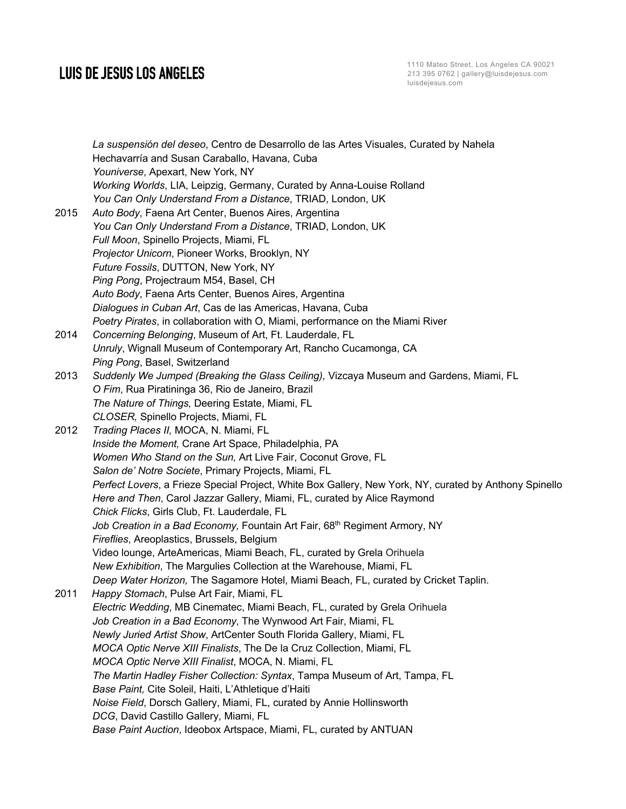1110 Mateo Street, Los Angeles CA 90021 213 395 0762 | gallery@luisdejesus.com luisdejesus.com

*La suspensión del deseo*, Centro de Desarrollo de las Artes Visuales, Curated by Nahela Hechavarría and Susan Caraballo, Havana, Cuba *Youniverse*, Apexart, New York, NY *Working Worlds*, LIA, Leipzig, Germany, Curated by Anna-Louise Rolland *You Can Only Understand From a Distance*, TRIAD, London, UK 2015 *Auto Body*, Faena Art Center, Buenos Aires, Argentina *You Can Only Understand From a Distance*, TRIAD, London, UK *Full Moon*, Spinello Projects, Miami, FL *Projector Unicorn*, Pioneer Works, Brooklyn, NY *Future Fossils*, DUTTON, New York, NY *Ping Pong*, Projectraum M54, Basel, CH *Auto Body*, Faena Arts Center, Buenos Aires, Argentina *Dialogues in Cuban Art*, Cas de las Americas, Havana, Cuba *Poetry Pirates*, in collaboration with O, Miami, performance on the Miami River 2014 *Concerning Belonging*, Museum of Art, Ft. Lauderdale, FL *Unruly*, Wignall Museum of Contemporary Art, Rancho Cucamonga, CA *Ping Pong*, Basel, Switzerland 2013 *Suddenly We Jumped (Breaking the Glass Ceiling),* Vizcaya Museum and Gardens, Miami, FL *O Fim*, Rua Piratininga 36, Rio de Janeiro, Brazil *The Nature of Things,* Deering Estate, Miami, FL *CLOSER,* Spinello Projects, Miami, FL 2012 *Trading Places II,* MOCA, N. Miami, FL *Inside the Moment,* Crane Art Space, Philadelphia, PA *Women Who Stand on the Sun,* Art Live Fair, Coconut Grove, FL *Salon de' Notre Societe*, Primary Projects, Miami, FL *Perfect Lovers*, a Frieze Special Project, White Box Gallery, New York, NY, curated by Anthony Spinello *Here and Then*, Carol Jazzar Gallery, Miami, FL, curated by Alice Raymond *Chick Flicks*, Girls Club, Ft. Lauderdale, FL Job Creation in a Bad Economy, Fountain Art Fair, 68<sup>th</sup> Regiment Armory, NY *Fireflies*, Areoplastics, Brussels, Belgium Video lounge, ArteAmericas, Miami Beach, FL, curated by Grela Orihuela *New Exhibition*, The Margulies Collection at the Warehouse, Miami, FL *Deep Water Horizon,* The Sagamore Hotel, Miami Beach, FL, curated by Cricket Taplin. 2011 *Happy Stomach*, Pulse Art Fair, Miami, FL *Electric Wedding*, MB Cinematec, Miami Beach, FL, curated by Grela Orihuela *Job Creation in a Bad Economy*, The Wynwood Art Fair, Miami, FL *Newly Juried Artist Show*, ArtCenter South Florida Gallery, Miami, FL *MOCA Optic Nerve XIII Finalists*, The De la Cruz Collection, Miami, FL *MOCA Optic Nerve XIII Finalist*, MOCA, N. Miami, FL *The Martin Hadley Fisher Collection: Syntax*, Tampa Museum of Art, Tampa, FL *Base Paint,* Cite Soleil, Haiti, L'Athletique d'Haiti *Noise Field*, Dorsch Gallery, Miami, FL, curated by Annie Hollinsworth *DCG*, David Castillo Gallery, Miami, FL *Base Paint Auction*, Ideobox Artspace, Miami, FL, curated by ANTUAN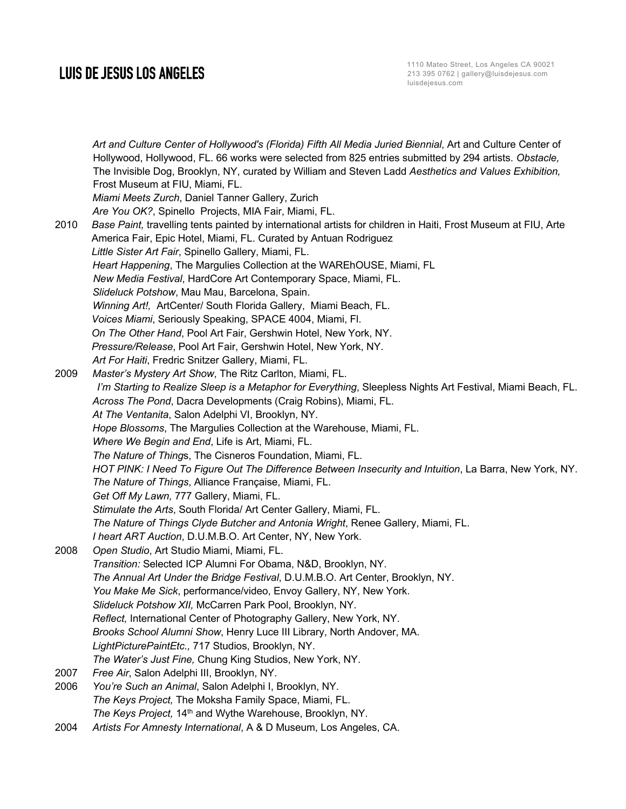*Art and Culture Center of Hollywood's (Florida) Fifth All Media Juried Biennial*, Art and Culture Center of Hollywood, Hollywood, FL. 66 works were selected from 825 entries submitted by 294 artists. *Obstacle,* The Invisible Dog, Brooklyn, NY, curated by William and Steven Ladd *Aesthetics and Values Exhibition,* Frost Museum at FIU, Miami, FL. *Miami Meets Zurch*, Daniel Tanner Gallery, Zurich *Are You OK?*, Spinello Projects, MIA Fair, Miami, FL. 2010 *Base Paint,* travelling tents painted by international artists for children in Haiti, Frost Museum at FIU, Arte America Fair, Epic Hotel, Miami, FL. Curated by Antuan Rodriguez *Little Sister Art Fair*, Spinello Gallery, Miami, FL. *Heart Happening*, The Margulies Collection at the WAREhOUSE, Miami, FL *New Media Festival*, HardCore Art Contemporary Space, Miami, FL. *Slideluck Potshow*, Mau Mau, Barcelona, Spain. *Winning Art!,* ArtCenter/ South Florida Gallery, Miami Beach, FL. *Voices Miami*, Seriously Speaking, SPACE 4004, Miami, Fl. *On The Other Hand*, Pool Art Fair, Gershwin Hotel, New York, NY. *Pressure/Release*, Pool Art Fair, Gershwin Hotel, New York, NY. *Art For Haiti*, Fredric Snitzer Gallery, Miami, FL. 2009 *Master's Mystery Art Show*, The Ritz Carlton, Miami, FL. *I'm Starting to Realize Sleep is a Metaphor for Everything*, Sleepless Nights Art Festival, Miami Beach, FL. *Across The Pond*, Dacra Developments (Craig Robins), Miami, FL. *At The Ventanita*, Salon Adelphi VI, Brooklyn, NY. *Hope Blossoms*, The Margulies Collection at the Warehouse, Miami, FL. *Where We Begin and End*, Life is Art, Miami, FL. *The Nature of Thing*s, The Cisneros Foundation, Miami, FL. *HOT PINK: I Need To Figure Out The Difference Between Insecurity and Intuition*, La Barra, New York, NY. *The Nature of Things*, Alliance Française, Miami, FL. *Get Off My Lawn,* 777 Gallery, Miami, FL. *Stimulate the Arts*, South Florida/ Art Center Gallery, Miami, FL. *The Nature of Things Clyde Butcher and Antonia Wright*, Renee Gallery, Miami, FL. *I heart ART Auction*, D.U.M.B.O. Art Center, NY, New York. 2008 *Open Studio*, Art Studio Miami, Miami, FL. *Transition:* Selected ICP Alumni For Obama, N&D, Brooklyn, NY. *The Annual Art Under the Bridge Festival*, D.U.M.B.O. Art Center, Brooklyn, NY. *You Make Me Sick*, performance/video, Envoy Gallery, NY, New York. *Slideluck Potshow XII,* McCarren Park Pool, Brooklyn, NY. *Reflect,* International Center of Photography Gallery, New York, NY. *Brooks School Alumni Show*, Henry Luce III Library, North Andover, MA. *LightPicturePaintEtc.,* 717 Studios, Brooklyn, NY. *The Water's Just Fine,* Chung King Studios, New York, NY. 2007 *Free Air*, Salon Adelphi III, Brooklyn, NY. 2006 *You're Such an Animal*, Salon Adelphi I, Brooklyn, NY.  *The Keys Project,* The Moksha Family Space, Miami, FL. *The Keys Project,* 14<sup>th</sup> and Wythe Warehouse, Brooklyn, NY.

2004 *Artists For Amnesty International*, A & D Museum, Los Angeles, CA.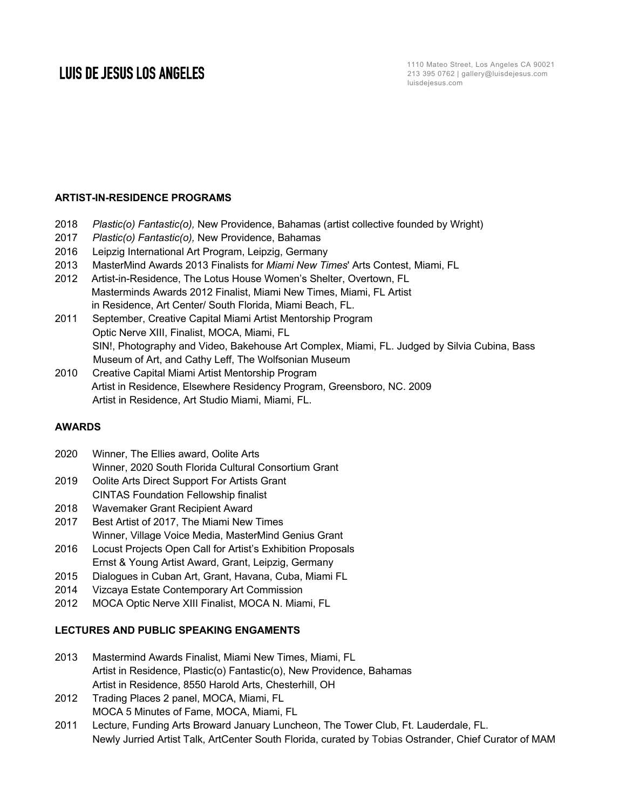### **ARTIST-IN-RESIDENCE PROGRAMS**

- 2018 *Plastic(o) Fantastic(o),* New Providence, Bahamas (artist collective founded by Wright)
- 2017 *Plastic(o) Fantastic(o),* New Providence, Bahamas
- 2016 Leipzig International Art Program, Leipzig, Germany
- 2013 MasterMind Awards 2013 Finalists for *Miami New Times*' Arts Contest, Miami, FL
- 2012 Artist-in-Residence, The Lotus House Women's Shelter, Overtown, FL Masterminds Awards 2012 Finalist, Miami New Times, Miami, FL Artist in Residence, Art Center/ South Florida, Miami Beach, FL.
- 2011 September, Creative Capital Miami Artist Mentorship Program Optic Nerve XIII, Finalist, MOCA, Miami, FL SIN!, Photography and Video, Bakehouse Art Complex, Miami, FL. Judged by Silvia Cubina, Bass Museum of Art, and Cathy Leff, The Wolfsonian Museum
- 2010 Creative Capital Miami Artist Mentorship Program Artist in Residence, Elsewhere Residency Program, Greensboro, NC. 2009 Artist in Residence, Art Studio Miami, Miami, FL.

### **AWARDS**

- 2020 Winner, The Ellies award, Oolite Arts
- Winner, 2020 South Florida Cultural Consortium Grant
- 2019 Oolite Arts Direct Support For Artists Grant CINTAS Foundation Fellowship finalist
- 2018 Wavemaker Grant Recipient Award
- 2017 Best Artist of 2017, The Miami New Times Winner, Village Voice Media, MasterMind Genius Grant
- 2016 Locust Projects Open Call for Artist's Exhibition Proposals Ernst & Young Artist Award, Grant, Leipzig, Germany
- 2015 Dialogues in Cuban Art, Grant, Havana, Cuba, Miami FL
- 2014 Vizcaya Estate Contemporary Art Commission
- 2012 MOCA Optic Nerve XIII Finalist, MOCA N. Miami, FL

#### **LECTURES AND PUBLIC SPEAKING ENGAMENTS**

- 2013 Mastermind Awards Finalist, Miami New Times, Miami, FL Artist in Residence, Plastic(o) Fantastic(o), New Providence, Bahamas Artist in Residence, 8550 Harold Arts, Chesterhill, OH
- 2012 Trading Places 2 panel, MOCA, Miami, FL MOCA 5 Minutes of Fame, MOCA, Miami, FL
- 2011 Lecture, Funding Arts Broward January Luncheon, The Tower Club, Ft. Lauderdale, FL. Newly Jurried Artist Talk, ArtCenter South Florida, curated by Tobias Ostrander, Chief Curator of MAM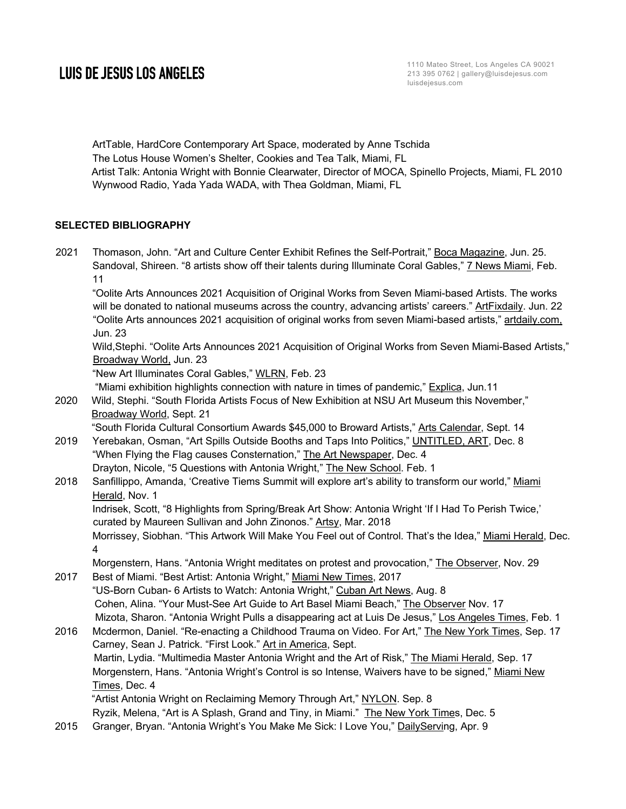1110 Mateo Street, Los Angeles CA 90021 213 395 0762 | gallery@luisdejesus.com luisdejesus.com

ArtTable, HardCore Contemporary Art Space, moderated by Anne Tschida The Lotus House Women's Shelter, Cookies and Tea Talk, Miami, FL Artist Talk: Antonia Wright with Bonnie Clearwater, Director of MOCA, Spinello Projects, Miami, FL 2010 Wynwood Radio, Yada Yada WADA, with Thea Goldman, Miami, FL

### **SELECTED BIBLIOGRAPHY**

2021 Thomason, John. "Art and Culture Center Exhibit Refines the Self-Portrait," Boca Magazine, Jun. 25. Sandoval, Shireen. "8 artists show off their talents during Illuminate Coral Gables," 7 News Miami, Feb. 11

"Oolite Arts Announces 2021 Acquisition of Original Works from Seven Miami-based Artists. The works will be donated to national museums across the country, advancing artists' careers." ArtFixdaily. Jun. 22 "Oolite Arts announces 2021 acquisition of original works from seven Miami-based artists," artdaily.com, Jun. 23

Wild,Stephi. "Oolite Arts Announces 2021 Acquisition of Original Works from Seven Miami-Based Artists," Broadway World, Jun. 23

"New Art Illuminates Coral Gables," WLRN, Feb. 23

"Miami exhibition highlights connection with nature in times of pandemic," Explica, Jun.11

2020 Wild, Stephi. "South Florida Artists Focus of New Exhibition at NSU Art Museum this November," Broadway World, Sept. 21

"South Florida Cultural Consortium Awards \$45,000 to Broward Artists," Arts Calendar, Sept. 14

- 2019 Yerebakan, Osman, "Art Spills Outside Booths and Taps Into Politics," UNTITLED, ART, Dec. 8 "When Flying the Flag causes Consternation," The Art Newspaper, Dec. 4 Drayton, Nicole, "5 Questions with Antonia Wright," The New School. Feb. 1
- 2018 Sanfillippo, Amanda, 'Creative Tiems Summit will explore art's ability to transform our world," Miami Herald, Nov. 1 Indrisek, Scott, "8 Highlights from Spring/Break Art Show: Antonia Wright 'If I Had To Perish Twice,'

curated by Maureen Sullivan and John Zinonos." Artsy, Mar. 2018

Morrissey, Siobhan. "This Artwork Will Make You Feel out of Control. That's the Idea," Miami Herald, Dec. 4

Morgenstern, Hans. "Antonia Wright meditates on protest and provocation," The Observer, Nov. 29

2017 Best of Miami. "Best Artist: Antonia Wright," Miami New Times, 2017 "US-Born Cuban- 6 Artists to Watch: Antonia Wright," Cuban Art News, Aug. 8 Cohen, Alina. "Your Must-See Art Guide to Art Basel Miami Beach," The Observer Nov. 17 Mizota, Sharon. "Antonia Wright Pulls a disappearing act at Luis De Jesus," Los Angeles Times, Feb. 1 2016 Mcdermon, Daniel. "Re-enacting a Childhood Trauma on Video. For Art," The New York Times, Sep. 17

Carney, Sean J. Patrick. "First Look." Art in America, Sept. Martin, Lydia. "Multimedia Master Antonia Wright and the Art of Risk," The Miami Herald, Sep. 17 Morgenstern, Hans. "Antonia Wright's Control is so Intense, Waivers have to be signed," Miami New Times, Dec. 4 "Artist Antonia Wright on Reclaiming Memory Through Art," NYLON. Sep. 8

- Ryzik, Melena, "Art is A Splash, Grand and Tiny, in Miami." The New York Times, Dec. 5
- 2015 Granger, Bryan. "Antonia Wright's You Make Me Sick: I Love You," DailyServing, Apr. 9